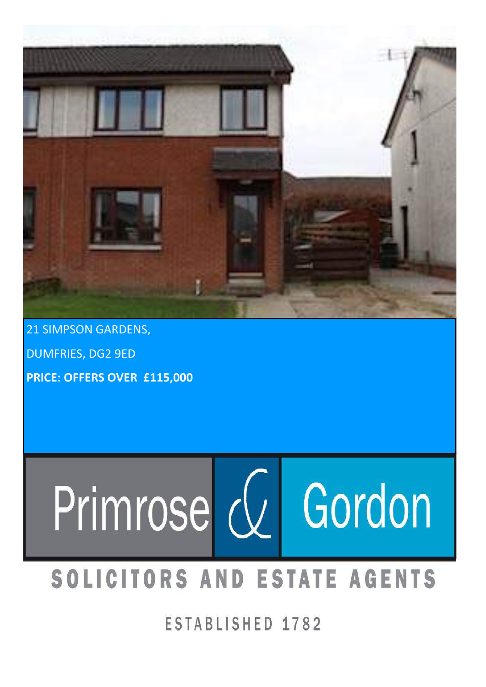

21 SIMPSON GARDENS, DUMFRIES, DG2 9ED **PRICE: OFFERS OVER £115,000**

# Primrose & Gordon

## SOLICITORS AND ESTATE AGENTS

ESTABLISHED 1782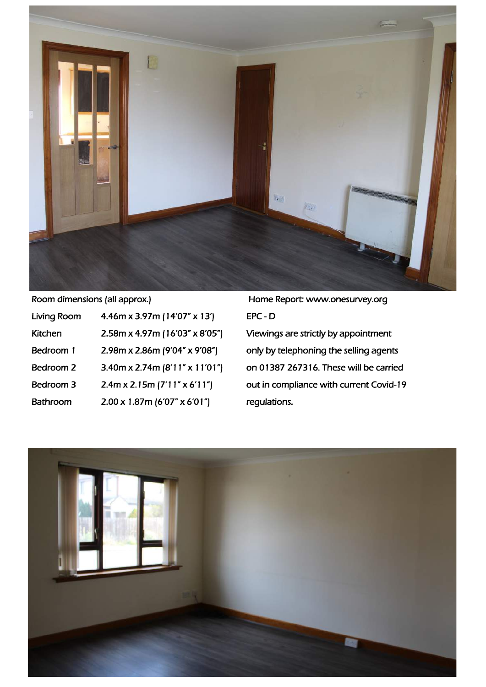

| <b>Living Room</b> | 4.46m x 3.97m (14'07" x 13')        |
|--------------------|-------------------------------------|
| <b>Kitchen</b>     | 2.58m x 4.97m (16'03" x 8'05")      |
| Bedroom 1          | 2.98m x 2.86m (9'04" x 9'08")       |
| Bedroom 2          | 3.40m x 2.74m (8'11" x 11'01")      |
| Bedroom 3          | $2.4m \times 2.15m$ (7'11" x 6'11") |
| <b>Bathroom</b>    | 2.00 x 1.87m (6'07" x 6'01")        |

Room dimensions (all approx.) The Report: www.onesurvey.org EPC - D Viewings are strictly by appointment only by telephoning the selling agents on 01387 267316. These will be carried out in compliance with current Covid-19 regulations.

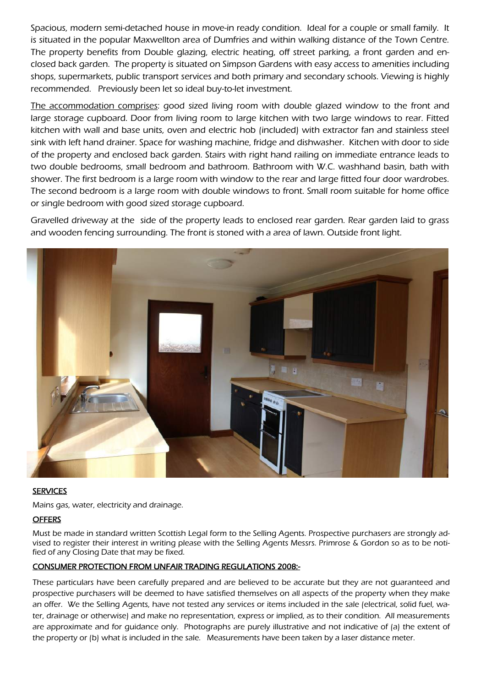Spacious, modern semi-detached house in move-in ready condition. Ideal for a couple or small family. It is situated in the popular Maxwellton area of Dumfries and within walking distance of the Town Centre. The property benefits from Double glazing, electric heating, off street parking, a front garden and enclosed back garden. The property is situated on Simpson Gardens with easy access to amenities including shops, supermarkets, public transport services and both primary and secondary schools. Viewing is highly recommended. Previously been let so ideal buy-to-let investment.

The accommodation comprises: good sized living room with double glazed window to the front and large storage cupboard. Door from living room to large kitchen with two large windows to rear. Fitted kitchen with wall and base units, oven and electric hob (included) with extractor fan and stainless steel sink with left hand drainer. Space for washing machine, fridge and dishwasher. Kitchen with door to side of the property and enclosed back garden. Stairs with right hand railing on immediate entrance leads to two double bedrooms, small bedroom and bathroom. Bathroom with W.C. washhand basin, bath with shower. The first bedroom is a large room with window to the rear and large fitted four door wardrobes. The second bedroom is a large room with double windows to front. Small room suitable for home office or single bedroom with good sized storage cupboard.

Gravelled driveway at the side of the property leads to enclosed rear garden. Rear garden laid to grass and wooden fencing surrounding. The front is stoned with a area of lawn. Outside front light.



### **SERVICES**

Mains gas, water, electricity and drainage.

### **OFFERS**

Must be made in standard written Scottish Legal form to the Selling Agents. Prospective purchasers are strongly advised to register their interest in writing please with the Selling Agents Messrs. Primrose & Gordon so as to be notified of any Closing Date that may be fixed.

### CONSUMER PROTECTION FROM UNFAIR TRADING REGULATIONS 2008:-

These particulars have been carefully prepared and are believed to be accurate but they are not guaranteed and prospective purchasers will be deemed to have satisfied themselves on all aspects of the property when they make an offer. We the Selling Agents, have not tested any services or items included in the sale (electrical, solid fuel, water, drainage or otherwise) and make no representation, express or implied, as to their condition. All measurements are approximate and for guidance only. Photographs are purely illustrative and not indicative of (a) the extent of the property or (b) what is included in the sale. Measurements have been taken by a laser distance meter.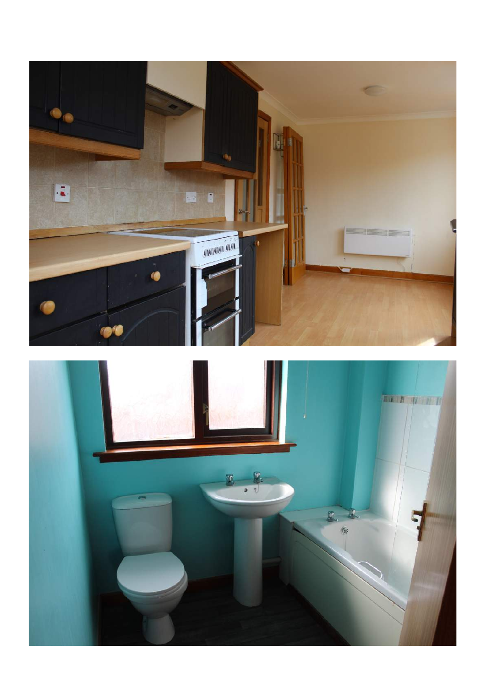

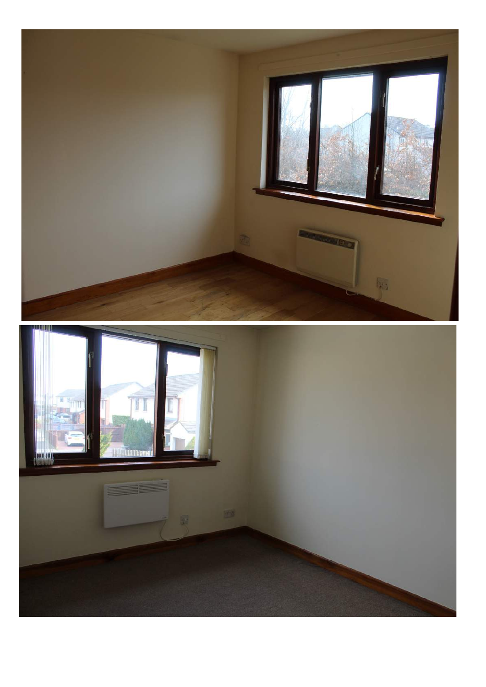